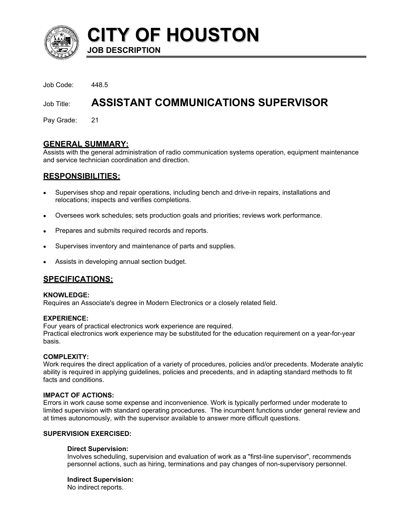

**CITY OF HOUSTON JOB DESCRIPTION** 

Job Code: 448.5

# Job Title: **ASSISTANT COMMUNICATIONS SUPERVISOR**

Pay Grade: 21

# **GENERAL SUMMARY:**

Assists with the general administration of radio communication systems operation, equipment maintenance and service technician coordination and direction.

# **RESPONSIBILITIES:**

- Supervises shop and repair operations, including bench and drive-in repairs, installations and relocations; inspects and verifies completions. •
- Oversees work schedules; sets production goals and priorities; reviews work performance.
- Prepares and submits required records and reports.
- Supervises inventory and maintenance of parts and supplies.
- Assists in developing annual section budget.

# **SPECIFICATIONS:**

#### **KNOWLEDGE:**

Requires an Associate's degree in Modern Electronics or a closely related field.

#### **EXPERIENCE:**

Four years of practical electronics work experience are required. Practical electronics work experience may be substituted for the education requirement on a year-for-year basis.

#### **COMPLEXITY:**

Work requires the direct application of a variety of procedures, policies and/or precedents. Moderate analytic ability is required in applying guidelines, policies and precedents, and in adapting standard methods to fit facts and conditions.

#### **IMPACT OF ACTIONS:**

Errors in work cause some expense and inconvenience. Work is typically performed under moderate to limited supervision with standard operating procedures. The incumbent functions under general review and at times autonomously, with the supervisor available to answer more difficult questions.

### **SUPERVISION EXERCISED:**

#### **Direct Supervision:**

Involves scheduling, supervision and evaluation of work as a "first-line supervisor", recommends personnel actions, such as hiring, terminations and pay changes of non-supervisory personnel.

#### **Indirect Supervision:**

No indirect reports.